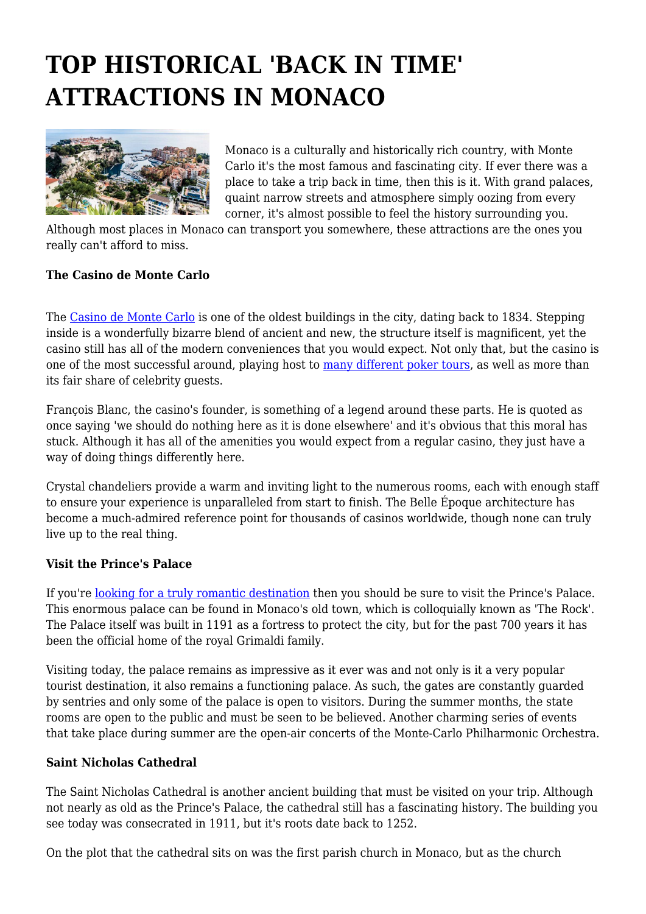## **TOP HISTORICAL 'BACK IN TIME' ATTRACTIONS IN MONACO**



Monaco is a culturally and historically rich country, with Monte Carlo it's the most famous and fascinating city. If ever there was a place to take a trip back in time, then this is it. With grand palaces, quaint narrow streets and atmosphere simply oozing from every corner, it's almost possible to feel the history surrounding you.

Although most places in Monaco can transport you somewhere, these attractions are the ones you really can't afford to miss.

## **The Casino de Monte Carlo**

The [Casino de Monte Carlo](https://www.montecarlosbm.com/en/casino-monaco) is one of the oldest buildings in the city, dating back to 1834. Stepping inside is a wonderfully bizarre blend of ancient and new, the structure itself is magnificent, yet the casino still has all of the modern conveniences that you would expect. Not only that, but the casino is one of the most successful around, playing host to [many different poker tours](https://www.pokernews.com/tours/), as well as more than its fair share of celebrity guests.

François Blanc, the casino's founder, is something of a legend around these parts. He is quoted as once saying 'we should do nothing here as it is done elsewhere' and it's obvious that this moral has stuck. Although it has all of the amenities you would expect from a regular casino, they just have a way of doing things differently here.

Crystal chandeliers provide a warm and inviting light to the numerous rooms, each with enough staff to ensure your experience is unparalleled from start to finish. The Belle Époque architecture has become a much-admired reference point for thousands of casinos worldwide, though none can truly live up to the real thing.

## **Visit the Prince's Palace**

If you're [looking for a truly romantic destination](https://www.tourism-review.com/european-most-romantic-destinations-for-travelers-news10274) then you should be sure to visit the Prince's Palace. This enormous palace can be found in Monaco's old town, which is colloquially known as 'The Rock'. The Palace itself was built in 1191 as a fortress to protect the city, but for the past 700 years it has been the official home of the royal Grimaldi family.

Visiting today, the palace remains as impressive as it ever was and not only is it a very popular tourist destination, it also remains a functioning palace. As such, the gates are constantly guarded by sentries and only some of the palace is open to visitors. During the summer months, the state rooms are open to the public and must be seen to be believed. Another charming series of events that take place during summer are the open-air concerts of the Monte-Carlo Philharmonic Orchestra.

## **Saint Nicholas Cathedral**

The Saint Nicholas Cathedral is another ancient building that must be visited on your trip. Although not nearly as old as the Prince's Palace, the cathedral still has a fascinating history. The building you see today was consecrated in 1911, but it's roots date back to 1252.

On the plot that the cathedral sits on was the first parish church in Monaco, but as the church